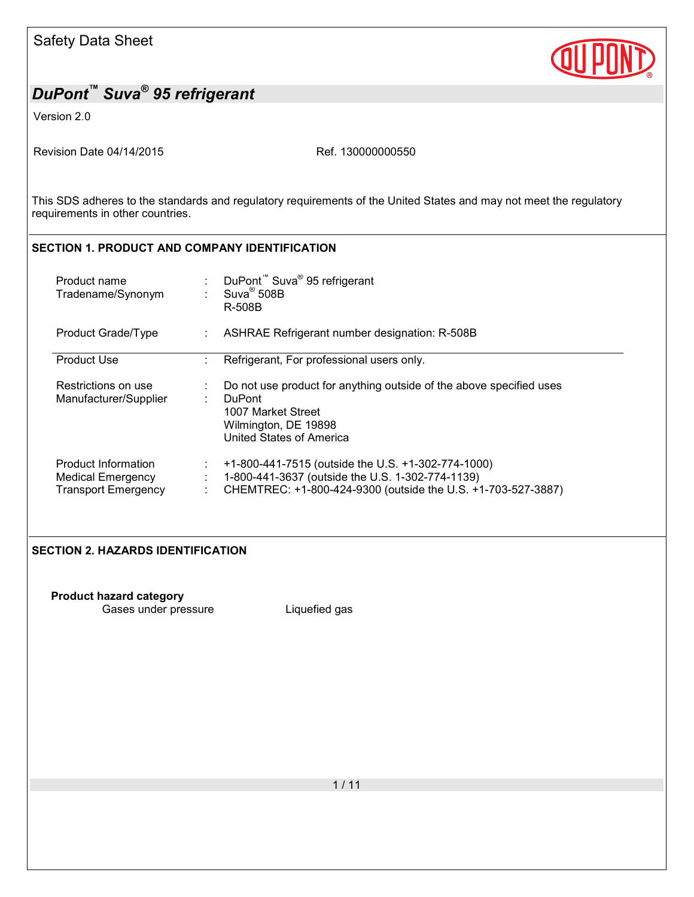Version 2.0

Revision Date 04/14/2015 Revision Date 04/14/2015

This SDS adheres to the standards and regulatory requirements of the United States and may not meet the regulatory requirements in other countries.

## **SECTION 1. PRODUCT AND COMPANY IDENTIFICATION**

| Product name<br>Tradename/Synonym                                      | DuPont <sup>™</sup> Suva <sup>®</sup> 95 refrigerant<br>$Suva^{\circledR}$ 508B<br>R-508B                                                                              |  |
|------------------------------------------------------------------------|------------------------------------------------------------------------------------------------------------------------------------------------------------------------|--|
| Product Grade/Type                                                     | ASHRAE Refrigerant number designation: R-508B                                                                                                                          |  |
| <b>Product Use</b>                                                     | Refrigerant, For professional users only.<br>٠                                                                                                                         |  |
| Restrictions on use<br>Manufacturer/Supplier                           | Do not use product for anything outside of the above specified uses<br><b>DuPont</b><br>٠<br>1007 Market Street<br>Wilmington, DE 19898<br>United States of America    |  |
| Product Information<br>Medical Emergency<br><b>Transport Emergency</b> | +1-800-441-7515 (outside the U.S. +1-302-774-1000)<br>1-800-441-3637 (outside the U.S. 1-302-774-1139)<br>CHEMTREC: +1-800-424-9300 (outside the U.S. +1-703-527-3887) |  |

## **SECTION 2. HAZARDS IDENTIFICATION**

**Product hazard category** Gases under pressure **Liquefied gas**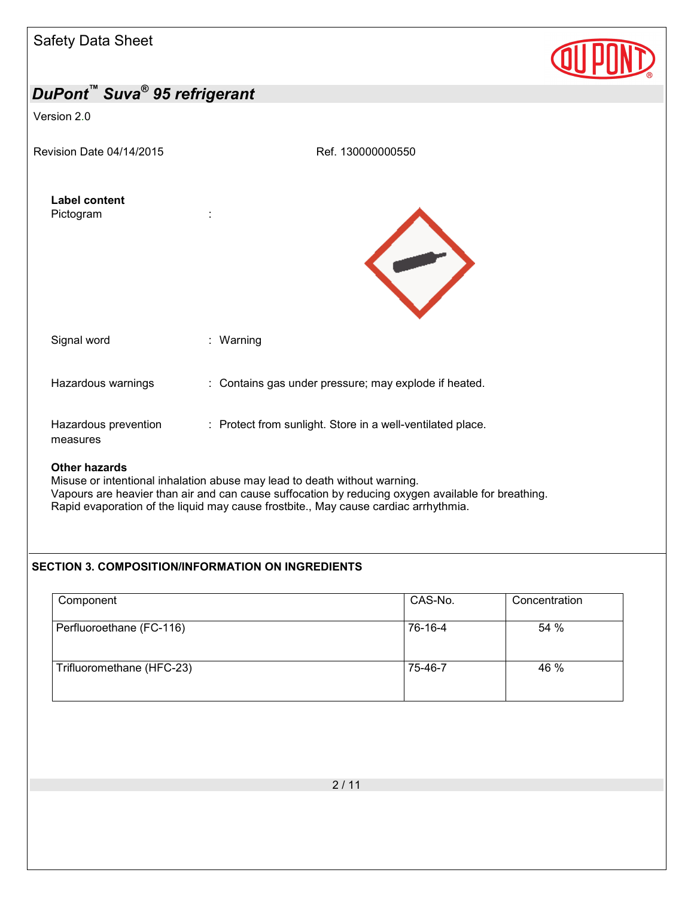| Salety Data Sheet                 |                                                                                                                                                                                |  |
|-----------------------------------|--------------------------------------------------------------------------------------------------------------------------------------------------------------------------------|--|
| DuPont™ Suva® 95 refrigerant      |                                                                                                                                                                                |  |
| Version 2.0                       |                                                                                                                                                                                |  |
| Revision Date 04/14/2015          | Ref. 130000000550                                                                                                                                                              |  |
| <b>Label content</b><br>Pictogram |                                                                                                                                                                                |  |
| Signal word                       | : Warning                                                                                                                                                                      |  |
| Hazardous warnings                | : Contains gas under pressure; may explode if heated.                                                                                                                          |  |
| Hazardous prevention<br>measures  | : Protect from sunlight. Store in a well-ventilated place.                                                                                                                     |  |
| <b>Other hazards</b>              | Misuse or intentional inhalation abuse may lead to death without warning.<br>Vanoure are hoovier than air and can cause ouffeestion by reducing owners quailable for breathing |  |

Vapours are heavier than air and can cause suffocation by reducing oxygen available for breathing. Rapid evaporation of the liquid may cause frostbite., May cause cardiac arrhythmia.

## **SECTION 3. COMPOSITION/INFORMATION ON INGREDIENTS**

| Component                 | CAS-No. | Concentration |
|---------------------------|---------|---------------|
| Perfluoroethane (FC-116)  | 76-16-4 | 54 %          |
| Trifluoromethane (HFC-23) | 75-46-7 | 46 %          |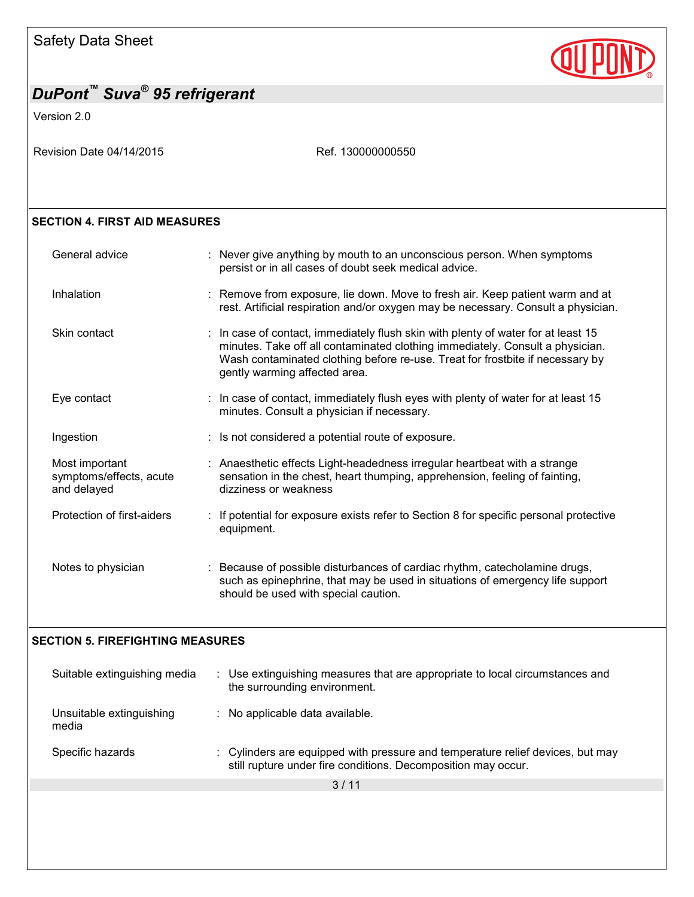# **QUPI**

# *DuPont™ Suva® 95 refrigerant*

Version 2.0

Revision Date 04/14/2015 Revision Date 04/14/2015

## **SECTION 4. FIRST AID MEASURES**

| General advice                                           | : Never give anything by mouth to an unconscious person. When symptoms<br>persist or in all cases of doubt seek medical advice.                                                                                                                                                      |
|----------------------------------------------------------|--------------------------------------------------------------------------------------------------------------------------------------------------------------------------------------------------------------------------------------------------------------------------------------|
| Inhalation                                               | : Remove from exposure, lie down. Move to fresh air. Keep patient warm and at<br>rest. Artificial respiration and/or oxygen may be necessary. Consult a physician.                                                                                                                   |
| Skin contact                                             | : In case of contact, immediately flush skin with plenty of water for at least 15<br>minutes. Take off all contaminated clothing immediately. Consult a physician.<br>Wash contaminated clothing before re-use. Treat for frostbite if necessary by<br>gently warming affected area. |
| Eye contact                                              | : In case of contact, immediately flush eyes with plenty of water for at least 15<br>minutes. Consult a physician if necessary.                                                                                                                                                      |
| Ingestion                                                | : Is not considered a potential route of exposure.                                                                                                                                                                                                                                   |
| Most important<br>symptoms/effects, acute<br>and delayed | : Anaesthetic effects Light-headedness irregular heartbeat with a strange<br>sensation in the chest, heart thumping, apprehension, feeling of fainting,<br>dizziness or weakness                                                                                                     |
| Protection of first-aiders                               | : If potential for exposure exists refer to Section 8 for specific personal protective<br>equipment.                                                                                                                                                                                 |
| Notes to physician                                       | : Because of possible disturbances of cardiac rhythm, catecholamine drugs,<br>such as epinephrine, that may be used in situations of emergency life support<br>should be used with special caution.                                                                                  |

## **SECTION 5. FIREFIGHTING MEASURES**

| Suitable extinguishing media      | : Use extinguishing measures that are appropriate to local circumstances and<br>the surrounding environment.                                    |
|-----------------------------------|-------------------------------------------------------------------------------------------------------------------------------------------------|
| Unsuitable extinguishing<br>media | : No applicable data available.                                                                                                                 |
| Specific hazards                  | : Cylinders are equipped with pressure and temperature relief devices, but may<br>still rupture under fire conditions. Decomposition may occur. |
|                                   | 3/11                                                                                                                                            |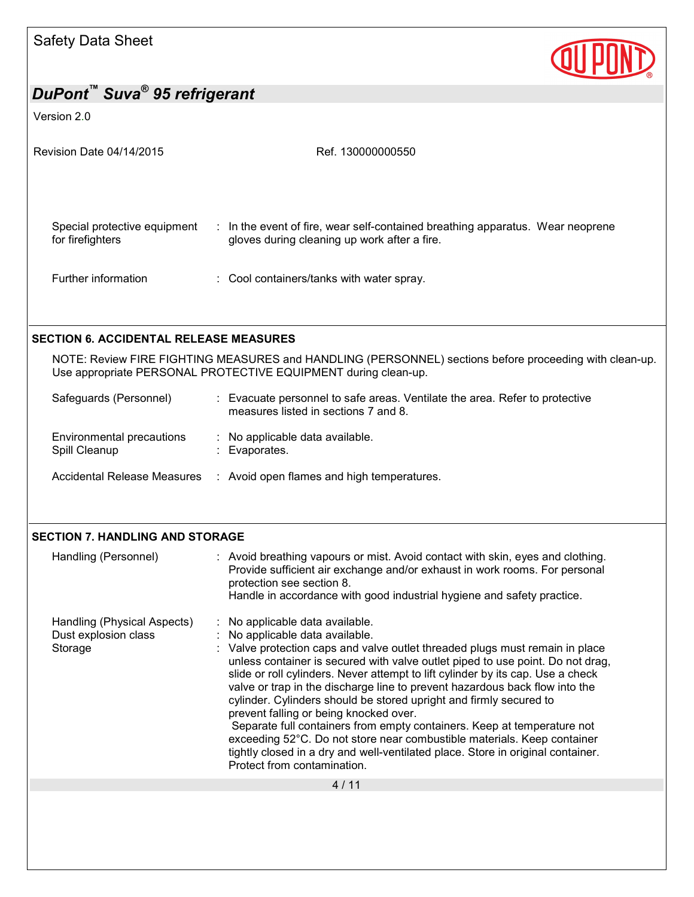

#### Version 2.0

| Revision Date 04/14/2015                         | Ref. 130000000550                                                                                                                                                                         |
|--------------------------------------------------|-------------------------------------------------------------------------------------------------------------------------------------------------------------------------------------------|
| Special protective equipment<br>for firefighters | : In the event of fire, wear self-contained breathing apparatus. Wear neoprene<br>gloves during cleaning up work after a fire.                                                            |
| Further information                              | : Cool containers/tanks with water spray.                                                                                                                                                 |
| <b>SECTION 6. ACCIDENTAL RELEASE MEASURES</b>    |                                                                                                                                                                                           |
|                                                  | NOTE: Review FIRE FIGHTING MEASURES and HANDLING (PERSONNEL) sections before proceeding with clean-up.<br>Use appropriate PERSONAL PROTECTIVE EQUIPMENT during clean-up.                  |
| Safeguards (Personnel)                           | : Evacuate personnel to safe areas. Ventilate the area. Refer to protective<br>measures listed in sections 7 and 8.                                                                       |
| Environmental precautions<br>Spill Cleanup       | : No applicable data available.<br>: Evaporates.                                                                                                                                          |
| Accidental Release Measures                      | : Avoid open flames and high temperatures.                                                                                                                                                |
|                                                  |                                                                                                                                                                                           |
| <b>SECTION 7. HANDLING AND STORAGE</b>           |                                                                                                                                                                                           |
| Handling (Personnel)                             | : Avoid breathing vapours or mist. Avoid contact with skin, eyes and clothing.<br>Provide sufficient air exchange and/or exhaust in work rooms. For personal<br>protection see section 8. |

4 / 11

 $\therefore$  No applicable data available.

Protect from contamination.

Storage : Valve protection caps and valve outlet threaded plugs must remain in place

prevent falling or being knocked over.

Handling (Physical Aspects) : No applicable data available.<br>Dust explosion class : No applicable data available.

Handle in accordance with good industrial hygiene and safety practice.

cylinder. Cylinders should be stored upright and firmly secured to

unless container is secured with valve outlet piped to use point. Do not drag, slide or roll cylinders. Never attempt to lift cylinder by its cap. Use a check valve or trap in the discharge line to prevent hazardous back flow into the

 Separate full containers from empty containers. Keep at temperature not exceeding 52°C. Do not store near combustible materials. Keep container tightly closed in a dry and well-ventilated place. Store in original container.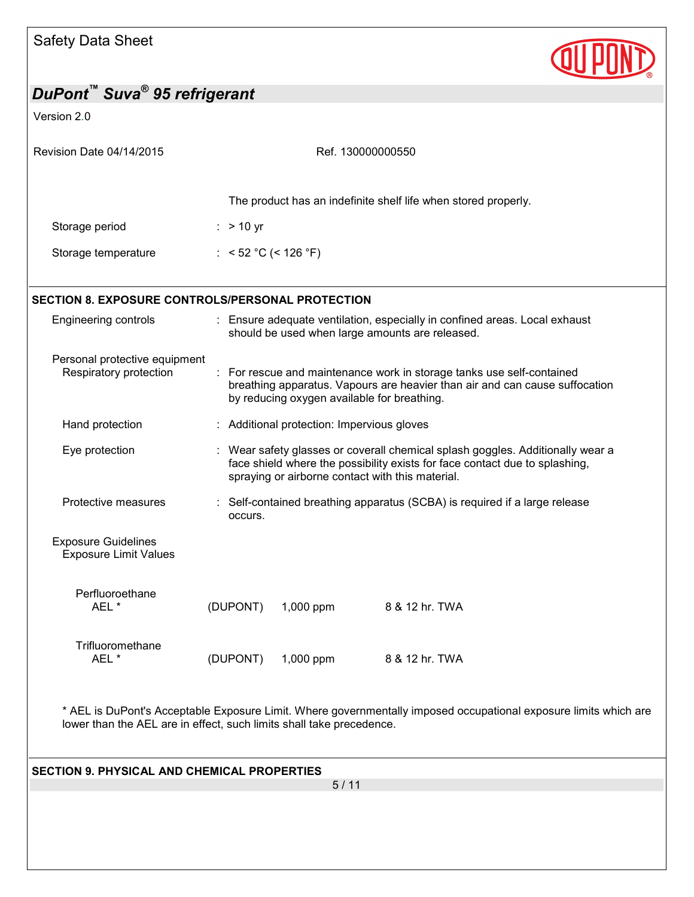

| DuPont™ Suva® 95 refrigerant                                                                                                                                                             |                                                                                                                                                                                                                 |  |
|------------------------------------------------------------------------------------------------------------------------------------------------------------------------------------------|-----------------------------------------------------------------------------------------------------------------------------------------------------------------------------------------------------------------|--|
| Version 2.0                                                                                                                                                                              |                                                                                                                                                                                                                 |  |
| Revision Date 04/14/2015                                                                                                                                                                 | Ref. 130000000550                                                                                                                                                                                               |  |
|                                                                                                                                                                                          | The product has an indefinite shelf life when stored properly.                                                                                                                                                  |  |
| Storage period                                                                                                                                                                           | $:$ > 10 yr                                                                                                                                                                                                     |  |
| Storage temperature                                                                                                                                                                      | : $< 52 °C$ (< 126 °F)                                                                                                                                                                                          |  |
|                                                                                                                                                                                          | <b>SECTION 8. EXPOSURE CONTROLS/PERSONAL PROTECTION</b>                                                                                                                                                         |  |
| Engineering controls                                                                                                                                                                     | : Ensure adequate ventilation, especially in confined areas. Local exhaust<br>should be used when large amounts are released.                                                                                   |  |
| Personal protective equipment<br>Respiratory protection                                                                                                                                  | : For rescue and maintenance work in storage tanks use self-contained<br>breathing apparatus. Vapours are heavier than air and can cause suffocation<br>by reducing oxygen available for breathing.             |  |
| Hand protection                                                                                                                                                                          | : Additional protection: Impervious gloves                                                                                                                                                                      |  |
| Eye protection                                                                                                                                                                           | Wear safety glasses or coverall chemical splash goggles. Additionally wear a<br>face shield where the possibility exists for face contact due to splashing,<br>spraying or airborne contact with this material. |  |
| Protective measures                                                                                                                                                                      | Self-contained breathing apparatus (SCBA) is required if a large release<br>occurs.                                                                                                                             |  |
| <b>Exposure Guidelines</b><br><b>Exposure Limit Values</b>                                                                                                                               |                                                                                                                                                                                                                 |  |
| Perfluoroethane<br>AEL *                                                                                                                                                                 | (DUPONT)<br>1,000 ppm<br>8 & 12 hr. TWA                                                                                                                                                                         |  |
| Trifluoromethane<br>AEL *                                                                                                                                                                | (DUPONT)<br>8 & 12 hr. TWA<br>1,000 ppm                                                                                                                                                                         |  |
| * AEL is DuPont's Acceptable Exposure Limit. Where governmentally imposed occupational exposure limits which are<br>lower than the AEL are in effect, such limits shall take precedence. |                                                                                                                                                                                                                 |  |
| <b>SECTION 9. PHYSICAL AND CHEMICAL PROPERTIES</b>                                                                                                                                       | 5/11                                                                                                                                                                                                            |  |
|                                                                                                                                                                                          |                                                                                                                                                                                                                 |  |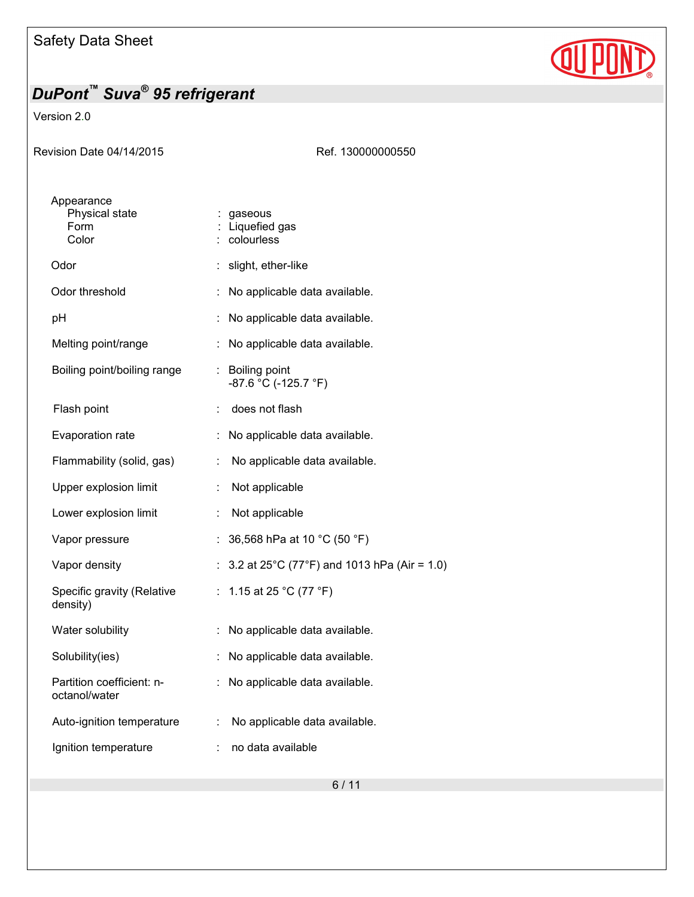

Version 2.0

| Revision Date 04/14/2015                      | Ref. 130000000550                               |
|-----------------------------------------------|-------------------------------------------------|
| Appearance<br>Physical state<br>Form<br>Color | : gaseous<br>: Liquefied gas<br>colourless      |
| Odor                                          | : slight, ether-like                            |
| Odor threshold                                | No applicable data available.                   |
| pH                                            | No applicable data available.                   |
| Melting point/range                           | : No applicable data available.                 |
| Boiling point/boiling range                   | : Boiling point<br>-87.6 °C (-125.7 °F)         |
| Flash point                                   | does not flash                                  |
| Evaporation rate                              | No applicable data available.                   |
| Flammability (solid, gas)                     | No applicable data available.<br>÷.             |
| Upper explosion limit                         | Not applicable<br>÷                             |
| Lower explosion limit                         | Not applicable                                  |
| Vapor pressure                                | 36,568 hPa at 10 °C (50 °F)                     |
| Vapor density                                 | : $3.2$ at 25°C (77°F) and 1013 hPa (Air = 1.0) |
| Specific gravity (Relative<br>density)        | : 1.15 at 25 °C (77 °F)                         |
| Water solubility                              | No applicable data available.                   |
| Solubility(ies)                               | No applicable data available.                   |
| Partition coefficient: n-<br>octanol/water    | No applicable data available.                   |
| Auto-ignition temperature                     | No applicable data available.<br>÷              |
| Ignition temperature                          | no data available                               |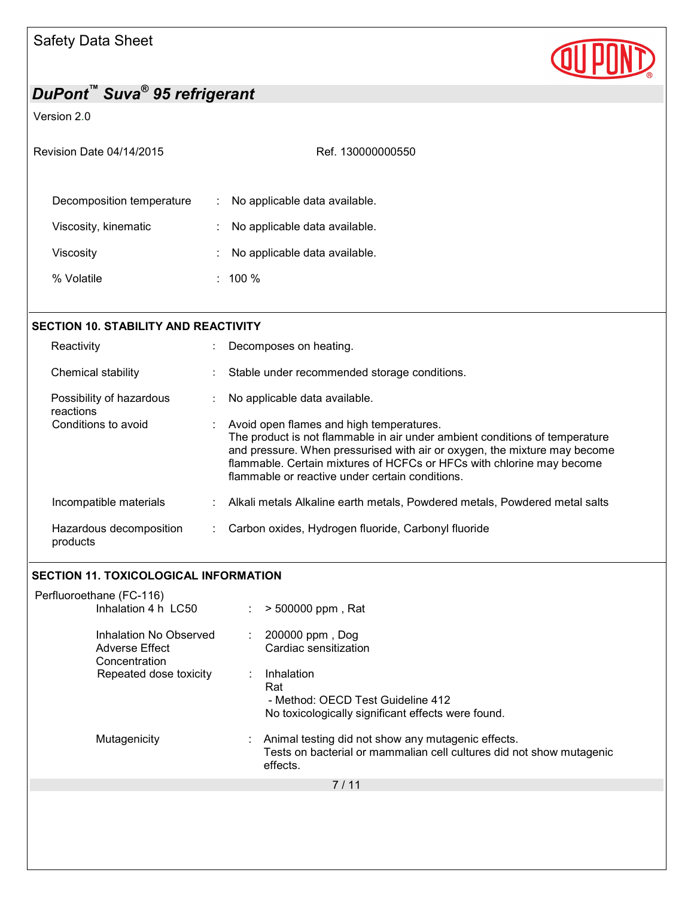

## Version 2.0

| Revision Date 04/14/2015  | Ref. 130000000550                                             |
|---------------------------|---------------------------------------------------------------|
| Decomposition temperature | No applicable data available.<br>$\mathcal{L}_{\mathrm{max}}$ |
| Viscosity, kinematic      | No applicable data available.                                 |
| Viscositv                 | No applicable data available.<br>÷                            |
| % Volatile                | 100 $%$                                                       |

| <b>SECTION 10. STABILITY AND REACTIVITY</b> |                |                                                                                                                                                                                                                                                                                                                                  |  |  |
|---------------------------------------------|----------------|----------------------------------------------------------------------------------------------------------------------------------------------------------------------------------------------------------------------------------------------------------------------------------------------------------------------------------|--|--|
| Reactivity                                  |                | Decomposes on heating.                                                                                                                                                                                                                                                                                                           |  |  |
| Chemical stability                          |                | Stable under recommended storage conditions.                                                                                                                                                                                                                                                                                     |  |  |
| Possibility of hazardous<br>reactions       | ÷.             | No applicable data available.                                                                                                                                                                                                                                                                                                    |  |  |
| Conditions to avoid                         | $\mathbb{R}^n$ | Avoid open flames and high temperatures.<br>The product is not flammable in air under ambient conditions of temperature<br>and pressure. When pressurised with air or oxygen, the mixture may become<br>flammable. Certain mixtures of HCFCs or HFCs with chlorine may become<br>flammable or reactive under certain conditions. |  |  |
| Incompatible materials                      |                | : Alkali metals Alkaline earth metals, Powdered metals, Powdered metal salts                                                                                                                                                                                                                                                     |  |  |
| Hazardous decomposition<br>products         |                | Carbon oxides, Hydrogen fluoride, Carbonyl fluoride                                                                                                                                                                                                                                                                              |  |  |

## **SECTION 11. TOXICOLOGICAL INFORMATION**

| Perfluoroethane (FC-116)                                  |                                                                                                                                        |
|-----------------------------------------------------------|----------------------------------------------------------------------------------------------------------------------------------------|
| Inhalation 4 h LC50                                       | $> 500000$ ppm, Rat<br>$\mathbb{Z}^{n-1}$                                                                                              |
| Inhalation No Observed<br>Adverse Effect<br>Concentration | 200000 ppm, Dog<br>÷.<br>Cardiac sensitization                                                                                         |
| Repeated dose toxicity                                    | Inhalation<br>Rat<br>- Method: OECD Test Guideline 412<br>No toxicologically significant effects were found.                           |
| Mutagenicity                                              | Animal testing did not show any mutagenic effects.<br>Tests on bacterial or mammalian cell cultures did not show mutagenic<br>effects. |
|                                                           | 7/11                                                                                                                                   |
|                                                           |                                                                                                                                        |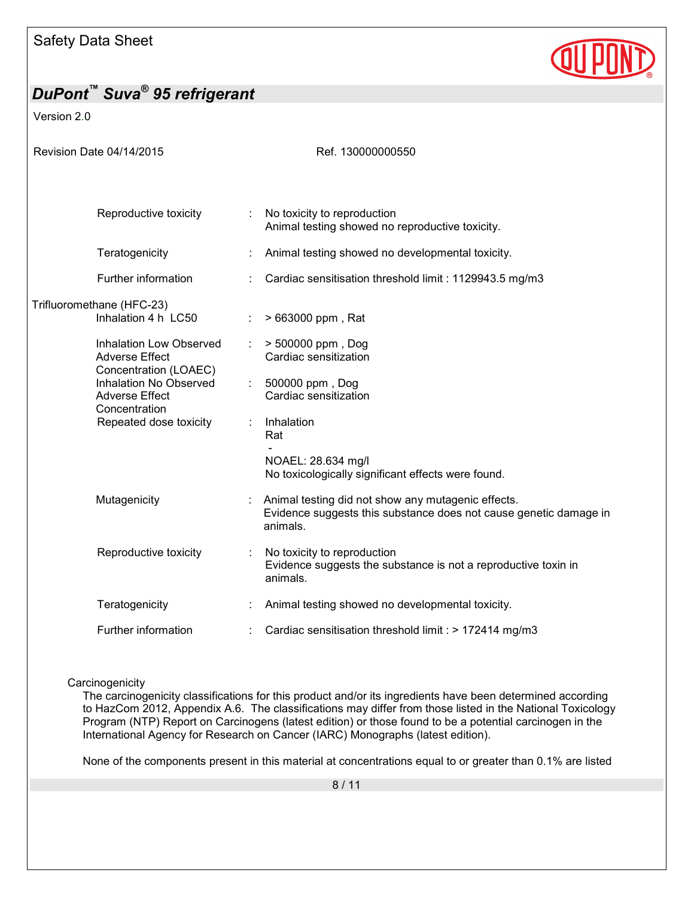

Version 2.0

| Revision Date 04/14/2015                                                         |   | Ref. 130000000550                                                                                                                   |
|----------------------------------------------------------------------------------|---|-------------------------------------------------------------------------------------------------------------------------------------|
| Reproductive toxicity                                                            |   | No toxicity to reproduction                                                                                                         |
|                                                                                  |   | Animal testing showed no reproductive toxicity.                                                                                     |
| Teratogenicity                                                                   |   | Animal testing showed no developmental toxicity.                                                                                    |
| Further information                                                              |   | Cardiac sensitisation threshold limit: 1129943.5 mg/m3                                                                              |
| Trifluoromethane (HFC-23)<br>Inhalation 4 h LC50                                 |   | > 663000 ppm, Rat                                                                                                                   |
| <b>Inhalation Low Observed</b><br><b>Adverse Effect</b><br>Concentration (LOAEC) | ÷ | > 500000 ppm, Dog<br>Cardiac sensitization                                                                                          |
| Inhalation No Observed<br><b>Adverse Effect</b><br>Concentration                 | ÷ | 500000 ppm, Dog<br>Cardiac sensitization                                                                                            |
| Repeated dose toxicity                                                           | ÷ | Inhalation<br>Rat                                                                                                                   |
|                                                                                  |   | NOAEL: 28.634 mg/l<br>No toxicologically significant effects were found.                                                            |
| Mutagenicity                                                                     |   | Animal testing did not show any mutagenic effects.<br>Evidence suggests this substance does not cause genetic damage in<br>animals. |
| Reproductive toxicity                                                            |   | No toxicity to reproduction<br>Evidence suggests the substance is not a reproductive toxin in<br>animals.                           |
| Teratogenicity                                                                   |   | Animal testing showed no developmental toxicity.                                                                                    |
| Further information                                                              |   | Cardiac sensitisation threshold limit : > 172414 mg/m3                                                                              |

**Carcinogenicity** 

The carcinogenicity classifications for this product and/or its ingredients have been determined according to HazCom 2012, Appendix A.6. The classifications may differ from those listed in the National Toxicology Program (NTP) Report on Carcinogens (latest edition) or those found to be a potential carcinogen in the International Agency for Research on Cancer (IARC) Monographs (latest edition).

None of the components present in this material at concentrations equal to or greater than 0.1% are listed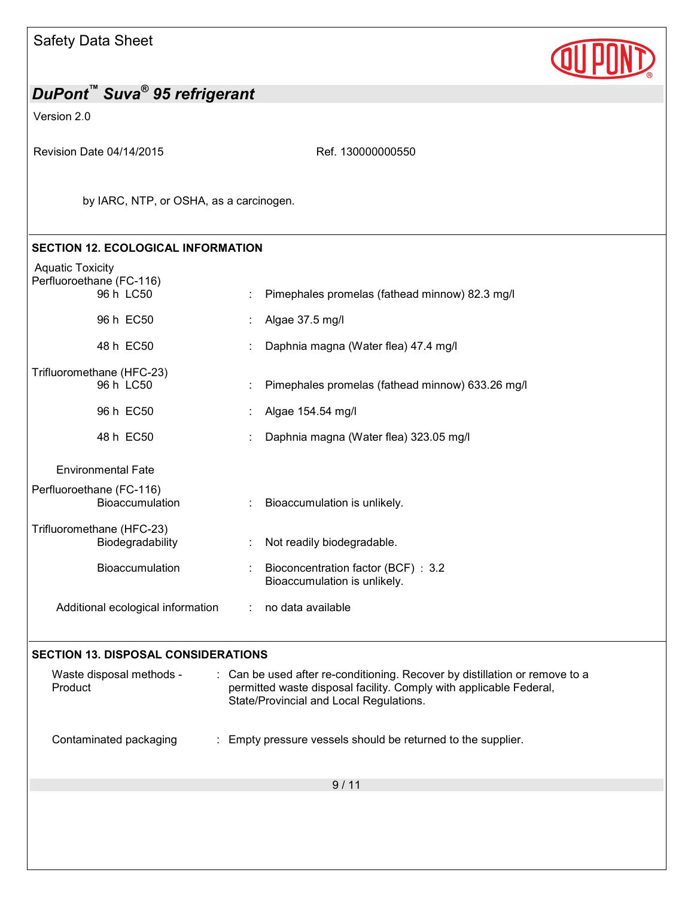Version 2.0

Revision Date 04/14/2015 Revision Date 04/14/2015

by IARC, NTP, or OSHA, as a carcinogen.

## **SECTION 12. ECOLOGICAL INFORMATION**

|  | <b>Aquatic Toxicity</b><br>Perfluoroethane (FC-116) |    |                                                                     |
|--|-----------------------------------------------------|----|---------------------------------------------------------------------|
|  | 96 h LC50                                           |    | : Pimephales promelas (fathead minnow) 82.3 mg/l                    |
|  | 96 h EC50                                           |    | Algae 37.5 mg/l                                                     |
|  | 48 h EC50                                           |    | Daphnia magna (Water flea) 47.4 mg/l                                |
|  | Trifluoromethane (HFC-23)<br>96 h LC50              |    | Pimephales promelas (fathead minnow) 633.26 mg/l                    |
|  |                                                     |    |                                                                     |
|  | 96 h EC50                                           |    | Algae 154.54 mg/l                                                   |
|  | 48 h EC50                                           |    | Daphnia magna (Water flea) 323.05 mg/l                              |
|  | <b>Environmental Fate</b>                           |    |                                                                     |
|  | Perfluoroethane (FC-116)<br><b>Bioaccumulation</b>  |    | : Bioaccumulation is unlikely.                                      |
|  | Trifluoromethane (HFC-23)<br>Biodegradability       |    | Not readily biodegradable.                                          |
|  | <b>Bioaccumulation</b>                              | ÷. | Bioconcentration factor (BCF) : 3.2<br>Bioaccumulation is unlikely. |
|  | Additional ecological information                   |    | : no data available                                                 |
|  |                                                     |    |                                                                     |

## **SECTION 13. DISPOSAL CONSIDERATIONS**

| Waste disposal methods -<br>Product | : Can be used after re-conditioning. Recover by distillation or remove to a<br>permitted waste disposal facility. Comply with applicable Federal,<br>State/Provincial and Local Regulations. |
|-------------------------------------|----------------------------------------------------------------------------------------------------------------------------------------------------------------------------------------------|
| Contaminated packaging              | : Empty pressure vessels should be returned to the supplier.                                                                                                                                 |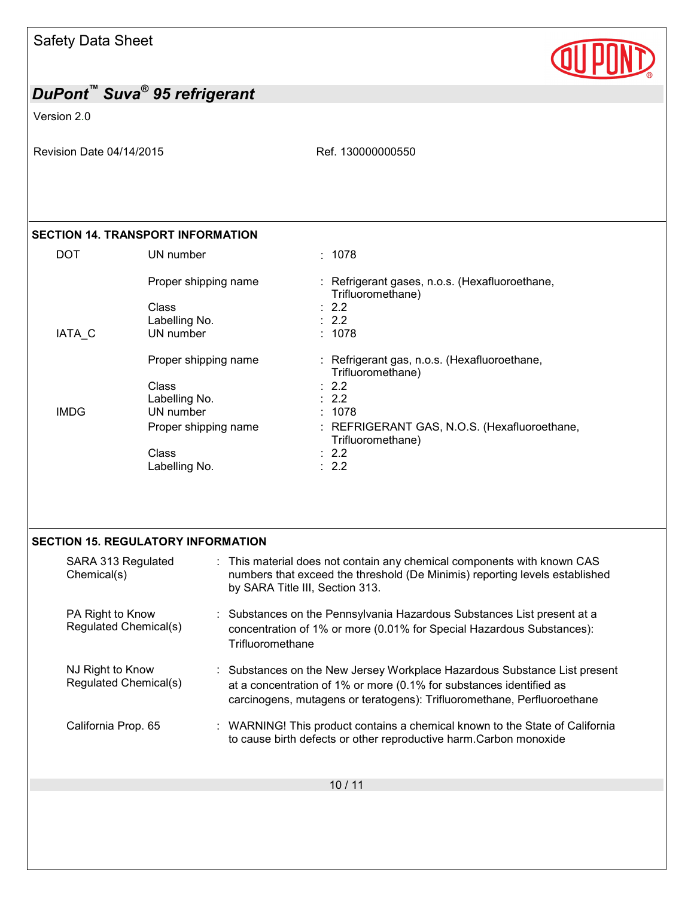Version 2.0

Revision Date 04/14/2015 Revision Date 04/14/2015

**QUP** 

### **SECTION 14. TRANSPORT INFORMATION**

| DOT         | UN number            | : 1078                                                              |
|-------------|----------------------|---------------------------------------------------------------------|
|             | Proper shipping name | : Refrigerant gases, n.o.s. (Hexafluoroethane,<br>Trifluoromethane) |
|             | Class                | $\therefore$ 2.2                                                    |
|             | Labelling No.        | $\therefore$ 2.2                                                    |
| IATA C      | UN number            | : 1078                                                              |
|             | Proper shipping name | : Refrigerant gas, n.o.s. (Hexafluoroethane,<br>Trifluoromethane)   |
|             | Class                | $\therefore$ 2.2                                                    |
|             | Labelling No.        | $\therefore$ 2.2                                                    |
| <b>IMDG</b> | UN number            | : 1078                                                              |
|             | Proper shipping name | : REFRIGERANT GAS, N.O.S. (Hexafluoroethane,<br>Trifluoromethane)   |
|             | Class                | $\therefore$ 2.2                                                    |
|             | Labelling No.        | $\therefore$ 2.2                                                    |

#### **SECTION 15. REGULATORY INFORMATION**

| SARA 313 Regulated<br>Chemical(s)         | : This material does not contain any chemical components with known CAS<br>numbers that exceed the threshold (De Minimis) reporting levels established<br>by SARA Title III, Section 313.                                   |
|-------------------------------------------|-----------------------------------------------------------------------------------------------------------------------------------------------------------------------------------------------------------------------------|
| PA Right to Know<br>Regulated Chemical(s) | Substances on the Pennsylvania Hazardous Substances List present at a<br>concentration of 1% or more (0.01% for Special Hazardous Substances):<br>Trifluoromethane                                                          |
| NJ Right to Know<br>Regulated Chemical(s) | : Substances on the New Jersey Workplace Hazardous Substance List present<br>at a concentration of 1% or more (0.1% for substances identified as<br>carcinogens, mutagens or teratogens): Trifluoromethane, Perfluoroethane |
| California Prop. 65                       | : WARNING! This product contains a chemical known to the State of California<br>to cause birth defects or other reproductive harm.Carbon monoxide                                                                           |